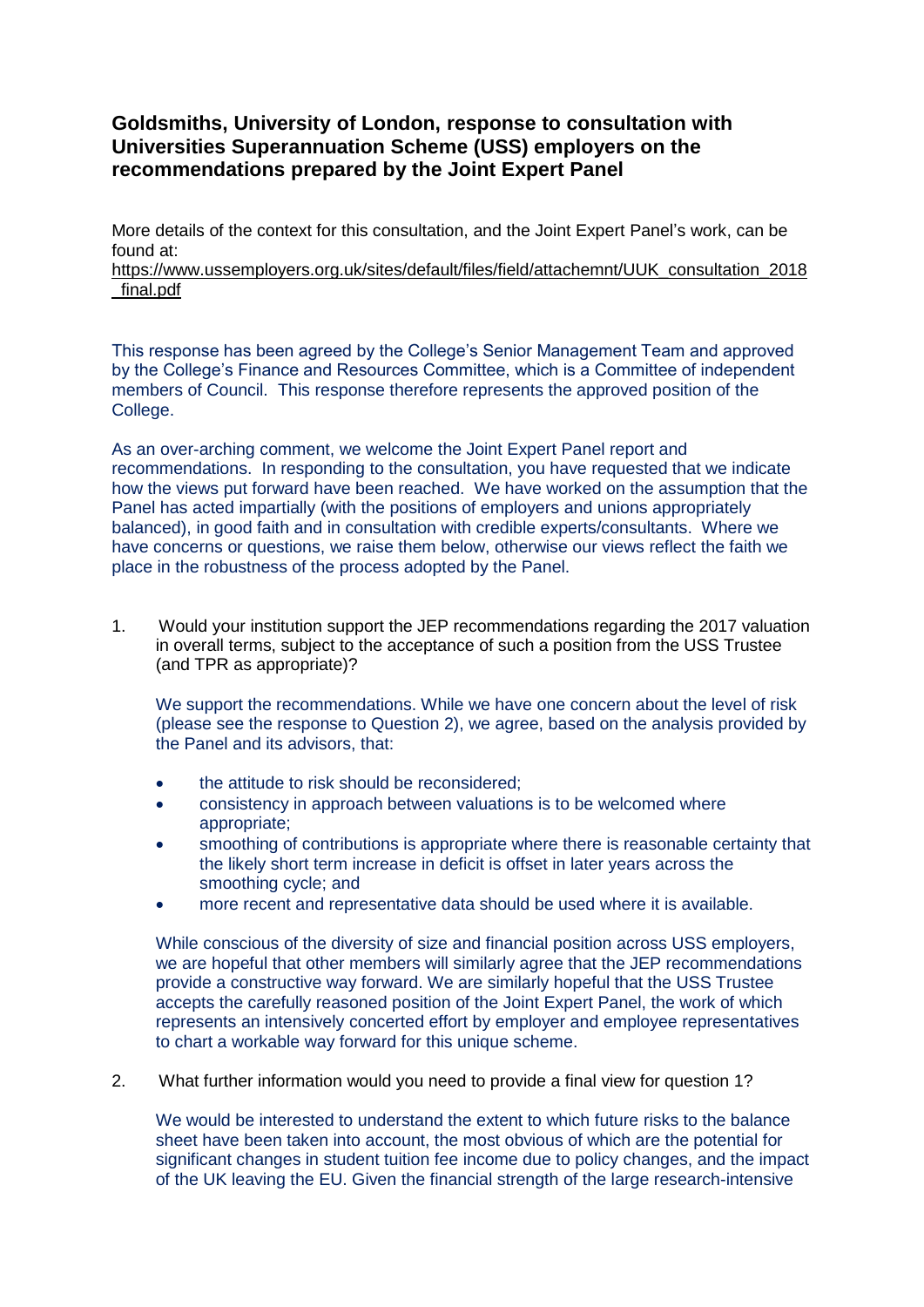## **Goldsmiths, University of London, response to consultation with Universities Superannuation Scheme (USS) employers on the recommendations prepared by the Joint Expert Panel**

More details of the context for this consultation, and the Joint Expert Panel's work, can be found at:

## [https://www.ussemployers.org.uk/sites/default/files/field/attachemnt/UUK\\_consultation\\_2018](https://www.ussemployers.org.uk/sites/default/files/field/attachemnt/UUK_consultation_2018_final.pdf) [\\_final.pdf](https://www.ussemployers.org.uk/sites/default/files/field/attachemnt/UUK_consultation_2018_final.pdf)

This response has been agreed by the College's Senior Management Team and approved by the College's Finance and Resources Committee, which is a Committee of independent members of Council. This response therefore represents the approved position of the College.

As an over-arching comment, we welcome the Joint Expert Panel report and recommendations. In responding to the consultation, you have requested that we indicate how the views put forward have been reached. We have worked on the assumption that the Panel has acted impartially (with the positions of employers and unions appropriately balanced), in good faith and in consultation with credible experts/consultants. Where we have concerns or questions, we raise them below, otherwise our views reflect the faith we place in the robustness of the process adopted by the Panel.

1. Would your institution support the JEP recommendations regarding the 2017 valuation in overall terms, subject to the acceptance of such a position from the USS Trustee (and TPR as appropriate)?

We support the recommendations. While we have one concern about the level of risk (please see the response to Question 2), we agree, based on the analysis provided by the Panel and its advisors, that:

- the attitude to risk should be reconsidered;
- consistency in approach between valuations is to be welcomed where appropriate;
- smoothing of contributions is appropriate where there is reasonable certainty that the likely short term increase in deficit is offset in later years across the smoothing cycle; and
- more recent and representative data should be used where it is available.

While conscious of the diversity of size and financial position across USS employers, we are hopeful that other members will similarly agree that the JEP recommendations provide a constructive way forward. We are similarly hopeful that the USS Trustee accepts the carefully reasoned position of the Joint Expert Panel, the work of which represents an intensively concerted effort by employer and employee representatives to chart a workable way forward for this unique scheme.

2. What further information would you need to provide a final view for question 1?

We would be interested to understand the extent to which future risks to the balance sheet have been taken into account, the most obvious of which are the potential for significant changes in student tuition fee income due to policy changes, and the impact of the UK leaving the EU. Given the financial strength of the large research-intensive